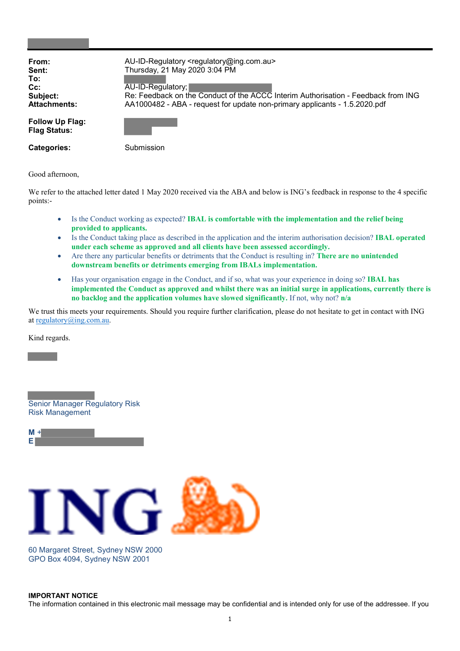| From:                                  | AU-ID-Regulatory <regulatory@ing.com.au></regulatory@ing.com.au>                  |  |
|----------------------------------------|-----------------------------------------------------------------------------------|--|
| Sent:                                  | Thursday, 21 May 2020 3:04 PM                                                     |  |
| To:                                    |                                                                                   |  |
| $Cc$ :                                 | AU-ID-Regulatory;                                                                 |  |
| Subject:                               | Re: Feedback on the Conduct of the ACCC Interim Authorisation - Feedback from ING |  |
| <b>Attachments:</b>                    | AA1000482 - ABA - request for update non-primary applicants - 1.5.2020.pdf        |  |
| Follow Up Flag:<br><b>Flag Status:</b> |                                                                                   |  |
| <b>Categories:</b>                     | Submission                                                                        |  |

Good afternoon,

We refer to the attached letter dated 1 May 2020 received via the ABA and below is ING's feedback in response to the 4 specific points:-

- Is the Conduct working as expected? IBAL is comfortable with the implementation and the relief being provided to applicants.
- Is the Conduct taking place as described in the application and the interim authorisation decision? IBAL operated under each scheme as approved and all clients have been assessed accordingly.
- Are there any particular benefits or detriments that the Conduct is resulting in? There are no unintended downstream benefits or detriments emerging from IBALs implementation.
- Has your organisation engage in the Conduct, and if so, what was your experience in doing so? IBAL has implemented the Conduct as approved and whilst there was an initial surge in applications, currently there is no backlog and the application volumes have slowed significantly. If not, why not? n/a

We trust this meets your requirements. Should you require further clarification, please do not hesitate to get in contact with ING at regulatory@ing.com.au.

Kind regards.

Senior Manager Regulatory Risk Risk Management

| Þ | ٠ |  |
|---|---|--|
|   |   |  |



60 Margaret Street, Sydney NSW 2000 GPO Box 4094, Sydney NSW 2001

## IMPORTANT NOTICE The information contained in this electronic mail message may be confidential and is intended only for use of the addressee. If you